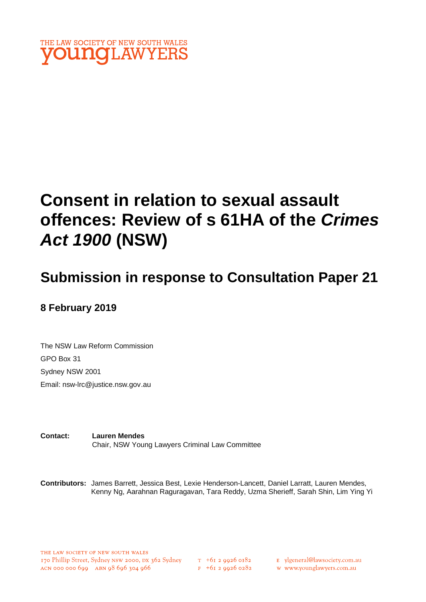

# **Consent in relation to sexual assault offences: Review of s 61HA of the** *Crimes Act 1900* **(NSW)**

# **Submission in response to Consultation Paper 21**

# **8 February 2019**

The NSW Law Reform Commission GPO Box 31 Sydney NSW 2001 Email: nsw-lrc@justice.nsw.gov.au

**Contact: Lauren Mendes** Chair, NSW Young Lawyers Criminal Law Committee

**Contributors:** James Barrett, Jessica Best, Lexie Henderson-Lancett, Daniel Larratt, Lauren Mendes, Kenny Ng, Aarahnan Raguragavan, Tara Reddy, Uzma Sherieff, Sarah Shin, Lim Ying Yi

 $T_{+61}$  2 9926 0182  $F$  +61 2 9926 0282 E ylgeneral@lawsociety.com.au

w www.younglawyers.com.au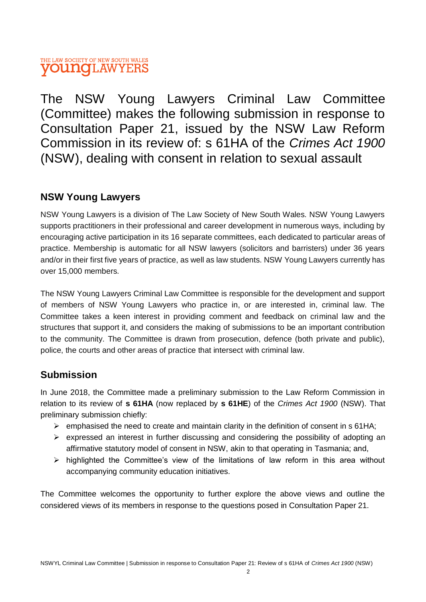# THE LAW SOCIETY OF NEW SOUTH WALES **VOUNGLAWYERS**

The NSW Young Lawyers Criminal Law Committee (Committee) makes the following submission in response to Consultation Paper 21, issued by the NSW Law Reform Commission in its review of: s 61HA of the *Crimes Act 1900*  (NSW), dealing with consent in relation to sexual assault

# **NSW Young Lawyers**

NSW Young Lawyers is a division of The Law Society of New South Wales. NSW Young Lawyers supports practitioners in their professional and career development in numerous ways, including by encouraging active participation in its 16 separate committees, each dedicated to particular areas of practice. Membership is automatic for all NSW lawyers (solicitors and barristers) under 36 years and/or in their first five years of practice, as well as law students. NSW Young Lawyers currently has over 15,000 members.

The NSW Young Lawyers Criminal Law Committee is responsible for the development and support of members of NSW Young Lawyers who practice in, or are interested in, criminal law. The Committee takes a keen interest in providing comment and feedback on criminal law and the structures that support it, and considers the making of submissions to be an important contribution to the community. The Committee is drawn from prosecution, defence (both private and public), police, the courts and other areas of practice that intersect with criminal law.

# **Submission**

In June 2018, the Committee made a preliminary submission to the Law Reform Commission in relation to its review of **s 61HA** (now replaced by **s 61HE**) of the *Crimes Act 1900* (NSW). That preliminary submission chiefly:

- $\triangleright$  emphasised the need to create and maintain clarity in the definition of consent in s 61HA;
- $\triangleright$  expressed an interest in further discussing and considering the possibility of adopting an affirmative statutory model of consent in NSW, akin to that operating in Tasmania; and,
- $\triangleright$  highlighted the Committee's view of the limitations of law reform in this area without accompanying community education initiatives.

The Committee welcomes the opportunity to further explore the above views and outline the considered views of its members in response to the questions posed in Consultation Paper 21.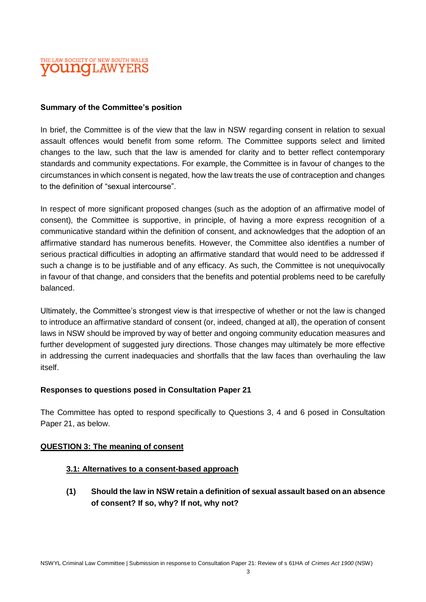

#### **Summary of the Committee's position**

In brief, the Committee is of the view that the law in NSW regarding consent in relation to sexual assault offences would benefit from some reform. The Committee supports select and limited changes to the law, such that the law is amended for clarity and to better reflect contemporary standards and community expectations. For example, the Committee is in favour of changes to the circumstances in which consent is negated, how the law treats the use of contraception and changes to the definition of "sexual intercourse".

In respect of more significant proposed changes (such as the adoption of an affirmative model of consent), the Committee is supportive, in principle, of having a more express recognition of a communicative standard within the definition of consent, and acknowledges that the adoption of an affirmative standard has numerous benefits. However, the Committee also identifies a number of serious practical difficulties in adopting an affirmative standard that would need to be addressed if such a change is to be justifiable and of any efficacy. As such, the Committee is not unequivocally in favour of that change, and considers that the benefits and potential problems need to be carefully balanced.

Ultimately, the Committee's strongest view is that irrespective of whether or not the law is changed to introduce an affirmative standard of consent (or, indeed, changed at all), the operation of consent laws in NSW should be improved by way of better and ongoing community education measures and further development of suggested jury directions. Those changes may ultimately be more effective in addressing the current inadequacies and shortfalls that the law faces than overhauling the law itself.

#### **Responses to questions posed in Consultation Paper 21**

The Committee has opted to respond specifically to Questions 3, 4 and 6 posed in Consultation Paper 21, as below.

#### **QUESTION 3: The meaning of consent**

#### **3.1: Alternatives to a consent-based approach**

**(1) Should the law in NSW retain a definition of sexual assault based on an absence of consent? If so, why? If not, why not?**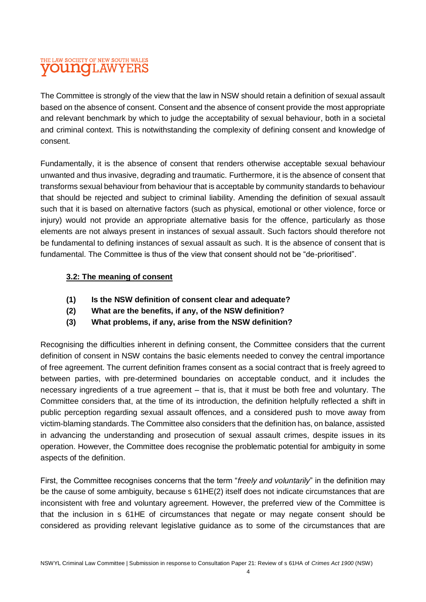# THE LAW SOCIETY OF NEW SOUTH WALES **VOUNOLAWYEF**

The Committee is strongly of the view that the law in NSW should retain a definition of sexual assault based on the absence of consent. Consent and the absence of consent provide the most appropriate and relevant benchmark by which to judge the acceptability of sexual behaviour, both in a societal and criminal context. This is notwithstanding the complexity of defining consent and knowledge of consent.

Fundamentally, it is the absence of consent that renders otherwise acceptable sexual behaviour unwanted and thus invasive, degrading and traumatic. Furthermore, it is the absence of consent that transforms sexual behaviour from behaviour that is acceptable by community standards to behaviour that should be rejected and subject to criminal liability. Amending the definition of sexual assault such that it is based on alternative factors (such as physical, emotional or other violence, force or injury) would not provide an appropriate alternative basis for the offence, particularly as those elements are not always present in instances of sexual assault. Such factors should therefore not be fundamental to defining instances of sexual assault as such. It is the absence of consent that is fundamental. The Committee is thus of the view that consent should not be "de-prioritised".

#### **3.2: The meaning of consent**

- **(1) Is the NSW definition of consent clear and adequate?**
- **(2) What are the benefits, if any, of the NSW definition?**
- **(3) What problems, if any, arise from the NSW definition?**

Recognising the difficulties inherent in defining consent, the Committee considers that the current definition of consent in NSW contains the basic elements needed to convey the central importance of free agreement. The current definition frames consent as a social contract that is freely agreed to between parties, with pre-determined boundaries on acceptable conduct, and it includes the necessary ingredients of a true agreement – that is, that it must be both free and voluntary. The Committee considers that, at the time of its introduction, the definition helpfully reflected a shift in public perception regarding sexual assault offences, and a considered push to move away from victim-blaming standards. The Committee also considers that the definition has, on balance, assisted in advancing the understanding and prosecution of sexual assault crimes, despite issues in its operation. However, the Committee does recognise the problematic potential for ambiguity in some aspects of the definition.

First, the Committee recognises concerns that the term "*freely and voluntarily*" in the definition may be the cause of some ambiguity, because s 61HE(2) itself does not indicate circumstances that are inconsistent with free and voluntary agreement. However, the preferred view of the Committee is that the inclusion in s 61HE of circumstances that negate or may negate consent should be considered as providing relevant legislative guidance as to some of the circumstances that are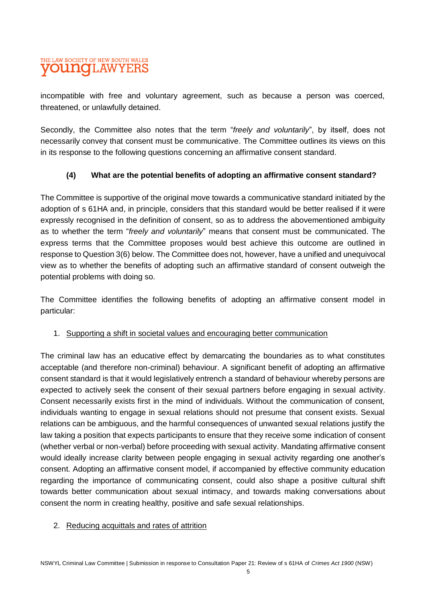# THE LAW SOCIETY OF NEW SOUTH WALES **OUNCLAWYEF**

incompatible with free and voluntary agreement, such as because a person was coerced, threatened, or unlawfully detained.

Secondly, the Committee also notes that the term "*freely and voluntarily*", by itself, does not necessarily convey that consent must be communicative. The Committee outlines its views on this in its response to the following questions concerning an affirmative consent standard.

#### **(4) What are the potential benefits of adopting an affirmative consent standard?**

The Committee is supportive of the original move towards a communicative standard initiated by the adoption of s 61HA and, in principle, considers that this standard would be better realised if it were expressly recognised in the definition of consent, so as to address the abovementioned ambiguity as to whether the term "*freely and voluntarily*" means that consent must be communicated. The express terms that the Committee proposes would best achieve this outcome are outlined in response to Question 3(6) below. The Committee does not, however, have a unified and unequivocal view as to whether the benefits of adopting such an affirmative standard of consent outweigh the potential problems with doing so.

The Committee identifies the following benefits of adopting an affirmative consent model in particular:

#### 1. Supporting a shift in societal values and encouraging better communication

The criminal law has an educative effect by demarcating the boundaries as to what constitutes acceptable (and therefore non-criminal) behaviour. A significant benefit of adopting an affirmative consent standard is that it would legislatively entrench a standard of behaviour whereby persons are expected to actively seek the consent of their sexual partners before engaging in sexual activity. Consent necessarily exists first in the mind of individuals. Without the communication of consent, individuals wanting to engage in sexual relations should not presume that consent exists. Sexual relations can be ambiguous, and the harmful consequences of unwanted sexual relations justify the law taking a position that expects participants to ensure that they receive some indication of consent (whether verbal or non-verbal) before proceeding with sexual activity. Mandating affirmative consent would ideally increase clarity between people engaging in sexual activity regarding one another's consent. Adopting an affirmative consent model, if accompanied by effective community education regarding the importance of communicating consent, could also shape a positive cultural shift towards better communication about sexual intimacy, and towards making conversations about consent the norm in creating healthy, positive and safe sexual relationships.

#### 2. Reducing acquittals and rates of attrition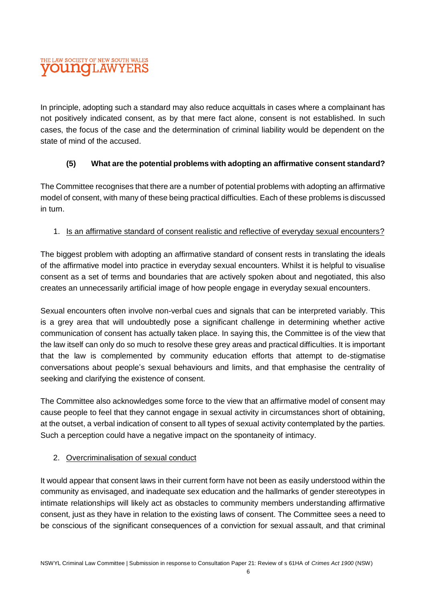# THE LAW SOCIETY OF NEW SOUTH WALES **OUITO LAWYER**

In principle, adopting such a standard may also reduce acquittals in cases where a complainant has not positively indicated consent, as by that mere fact alone, consent is not established. In such cases, the focus of the case and the determination of criminal liability would be dependent on the state of mind of the accused.

#### **(5) What are the potential problems with adopting an affirmative consent standard?**

The Committee recognises that there are a number of potential problems with adopting an affirmative model of consent, with many of these being practical difficulties. Each of these problems is discussed in turn.

#### 1. Is an affirmative standard of consent realistic and reflective of everyday sexual encounters?

The biggest problem with adopting an affirmative standard of consent rests in translating the ideals of the affirmative model into practice in everyday sexual encounters. Whilst it is helpful to visualise consent as a set of terms and boundaries that are actively spoken about and negotiated, this also creates an unnecessarily artificial image of how people engage in everyday sexual encounters.

Sexual encounters often involve non-verbal cues and signals that can be interpreted variably. This is a grey area that will undoubtedly pose a significant challenge in determining whether active communication of consent has actually taken place. In saying this, the Committee is of the view that the law itself can only do so much to resolve these grey areas and practical difficulties. It is important that the law is complemented by community education efforts that attempt to de-stigmatise conversations about people's sexual behaviours and limits, and that emphasise the centrality of seeking and clarifying the existence of consent.

The Committee also acknowledges some force to the view that an affirmative model of consent may cause people to feel that they cannot engage in sexual activity in circumstances short of obtaining, at the outset, a verbal indication of consent to all types of sexual activity contemplated by the parties. Such a perception could have a negative impact on the spontaneity of intimacy.

#### 2. Overcriminalisation of sexual conduct

It would appear that consent laws in their current form have not been as easily understood within the community as envisaged, and inadequate sex education and the hallmarks of gender stereotypes in intimate relationships will likely act as obstacles to community members understanding affirmative consent, just as they have in relation to the existing laws of consent. The Committee sees a need to be conscious of the significant consequences of a conviction for sexual assault, and that criminal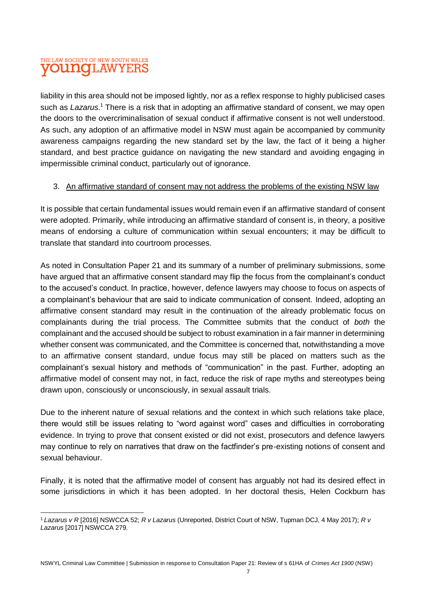# THE LAW SOCIETY OF NEW SOUTH WALES **VOUNGLAWYEF**

liability in this area should not be imposed lightly, nor as a reflex response to highly publicised cases such as *Lazarus*. <sup>1</sup> There is a risk that in adopting an affirmative standard of consent, we may open the doors to the overcriminalisation of sexual conduct if affirmative consent is not well understood. As such, any adoption of an affirmative model in NSW must again be accompanied by community awareness campaigns regarding the new standard set by the law, the fact of it being a higher standard, and best practice guidance on navigating the new standard and avoiding engaging in impermissible criminal conduct, particularly out of ignorance.

#### 3. An affirmative standard of consent may not address the problems of the existing NSW law

It is possible that certain fundamental issues would remain even if an affirmative standard of consent were adopted. Primarily, while introducing an affirmative standard of consent is, in theory, a positive means of endorsing a culture of communication within sexual encounters; it may be difficult to translate that standard into courtroom processes.

As noted in Consultation Paper 21 and its summary of a number of preliminary submissions, some have argued that an affirmative consent standard may flip the focus from the complainant's conduct to the accused's conduct. In practice, however, defence lawyers may choose to focus on aspects of a complainant's behaviour that are said to indicate communication of consent. Indeed, adopting an affirmative consent standard may result in the continuation of the already problematic focus on complainants during the trial process. The Committee submits that the conduct of *both* the complainant and the accused should be subject to robust examination in a fair manner in determining whether consent was communicated, and the Committee is concerned that, notwithstanding a move to an affirmative consent standard, undue focus may still be placed on matters such as the complainant's sexual history and methods of "communication" in the past. Further, adopting an affirmative model of consent may not, in fact, reduce the risk of rape myths and stereotypes being drawn upon, consciously or unconsciously, in sexual assault trials.

Due to the inherent nature of sexual relations and the context in which such relations take place, there would still be issues relating to "word against word" cases and difficulties in corroborating evidence. In trying to prove that consent existed or did not exist, prosecutors and defence lawyers may continue to rely on narratives that draw on the factfinder's pre-existing notions of consent and sexual behaviour.

Finally, it is noted that the affirmative model of consent has arguably not had its desired effect in some jurisdictions in which it has been adopted. In her doctoral thesis, Helen Cockburn has

 $\overline{\phantom{a}}$ <sup>1</sup> *Lazarus v R* [2016] NSWCCA 52; *R v Lazarus* (Unreported, District Court of NSW, Tupman DCJ, 4 May 2017); *R v Lazarus* [2017] NSWCCA 279.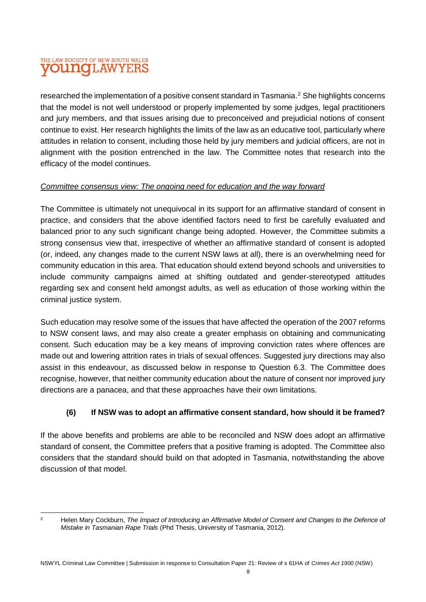# THE LAW SOCIETY OF NEW SOUTH WALES **OUNOLAWYE**

researched the implementation of a positive consent standard in Tasmania.<sup>2</sup> She highlights concerns that the model is not well understood or properly implemented by some judges, legal practitioners and jury members, and that issues arising due to preconceived and prejudicial notions of consent continue to exist. Her research highlights the limits of the law as an educative tool, particularly where attitudes in relation to consent, including those held by jury members and judicial officers, are not in alignment with the position entrenched in the law. The Committee notes that research into the efficacy of the model continues.

#### *Committee consensus view: The ongoing need for education and the way forward*

The Committee is ultimately not unequivocal in its support for an affirmative standard of consent in practice, and considers that the above identified factors need to first be carefully evaluated and balanced prior to any such significant change being adopted. However, the Committee submits a strong consensus view that, irrespective of whether an affirmative standard of consent is adopted (or, indeed, any changes made to the current NSW laws at all), there is an overwhelming need for community education in this area. That education should extend beyond schools and universities to include community campaigns aimed at shifting outdated and gender-stereotyped attitudes regarding sex and consent held amongst adults, as well as education of those working within the criminal justice system.

Such education may resolve some of the issues that have affected the operation of the 2007 reforms to NSW consent laws, and may also create a greater emphasis on obtaining and communicating consent. Such education may be a key means of improving conviction rates where offences are made out and lowering attrition rates in trials of sexual offences. Suggested jury directions may also assist in this endeavour, as discussed below in response to Question 6.3. The Committee does recognise, however, that neither community education about the nature of consent nor improved jury directions are a panacea, and that these approaches have their own limitations.

## **(6) If NSW was to adopt an affirmative consent standard, how should it be framed?**

If the above benefits and problems are able to be reconciled and NSW does adopt an affirmative standard of consent, the Committee prefers that a positive framing is adopted. The Committee also considers that the standard should build on that adopted in Tasmania, notwithstanding the above discussion of that model.

 $\overline{\phantom{a}}$ <sup>2</sup> Helen Mary Cockburn, *The Impact of Introducing an Affirmative Model of Consent and Changes to the Defence of Mistake in Tasmanian Rape Trials* (Phd Thesis, University of Tasmania, 2012).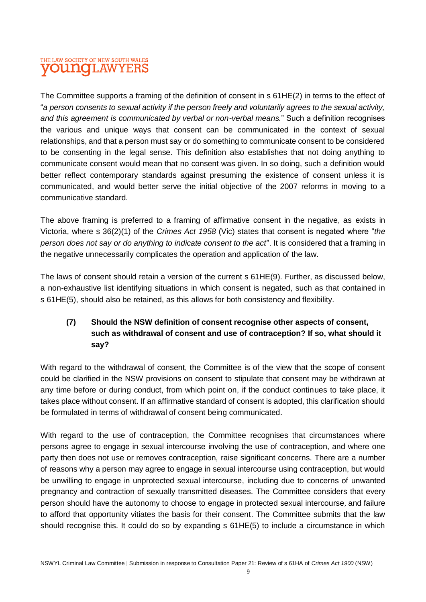# THE LAW SOCIETY OF NEW SOUTH WALES **OUNGLAWYER**

The Committee supports a framing of the definition of consent in s 61HE(2) in terms to the effect of "*a person consents to sexual activity if the person freely and voluntarily agrees to the sexual activity, and this agreement is communicated by verbal or non-verbal means.*" Such a definition recognises the various and unique ways that consent can be communicated in the context of sexual relationships, and that a person must say or do something to communicate consent to be considered to be consenting in the legal sense. This definition also establishes that not doing anything to communicate consent would mean that no consent was given. In so doing, such a definition would better reflect contemporary standards against presuming the existence of consent unless it is communicated, and would better serve the initial objective of the 2007 reforms in moving to a communicative standard.

The above framing is preferred to a framing of affirmative consent in the negative, as exists in Victoria, where s 36(2)(1) of the *Crimes Act 1958* (Vic) states that consent is negated where "*the person does not say or do anything to indicate consent to the act*". It is considered that a framing in the negative unnecessarily complicates the operation and application of the law.

The laws of consent should retain a version of the current s 61HE(9). Further, as discussed below, a non-exhaustive list identifying situations in which consent is negated, such as that contained in s 61HE(5), should also be retained, as this allows for both consistency and flexibility.

# **(7) Should the NSW definition of consent recognise other aspects of consent, such as withdrawal of consent and use of contraception? If so, what should it say?**

With regard to the withdrawal of consent, the Committee is of the view that the scope of consent could be clarified in the NSW provisions on consent to stipulate that consent may be withdrawn at any time before or during conduct, from which point on, if the conduct continues to take place, it takes place without consent. If an affirmative standard of consent is adopted, this clarification should be formulated in terms of withdrawal of consent being communicated.

With regard to the use of contraception, the Committee recognises that circumstances where persons agree to engage in sexual intercourse involving the use of contraception, and where one party then does not use or removes contraception, raise significant concerns. There are a number of reasons why a person may agree to engage in sexual intercourse using contraception, but would be unwilling to engage in unprotected sexual intercourse, including due to concerns of unwanted pregnancy and contraction of sexually transmitted diseases. The Committee considers that every person should have the autonomy to choose to engage in protected sexual intercourse, and failure to afford that opportunity vitiates the basis for their consent. The Committee submits that the law should recognise this. It could do so by expanding s 61HE(5) to include a circumstance in which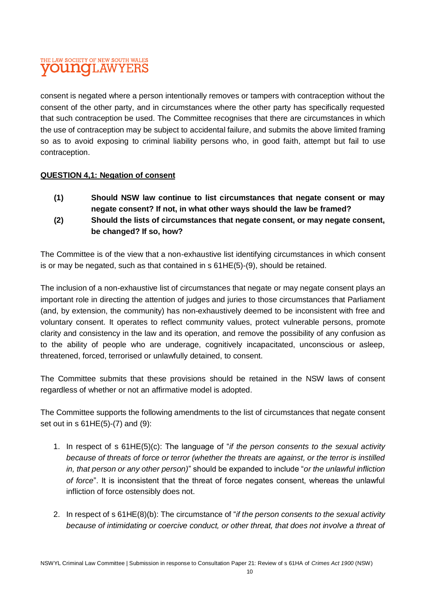# THE LAW SOCIETY OF NEW SOUTH WALES **OUNCLAWYER**

consent is negated where a person intentionally removes or tampers with contraception without the consent of the other party, and in circumstances where the other party has specifically requested that such contraception be used. The Committee recognises that there are circumstances in which the use of contraception may be subject to accidental failure, and submits the above limited framing so as to avoid exposing to criminal liability persons who, in good faith, attempt but fail to use contraception.

#### **QUESTION 4,1: Negation of consent**

- **(1) Should NSW law continue to list circumstances that negate consent or may negate consent? If not, in what other ways should the law be framed?**
- **(2) Should the lists of circumstances that negate consent, or may negate consent, be changed? If so, how?**

The Committee is of the view that a non-exhaustive list identifying circumstances in which consent is or may be negated, such as that contained in s 61HE(5)-(9), should be retained.

The inclusion of a non-exhaustive list of circumstances that negate or may negate consent plays an important role in directing the attention of judges and juries to those circumstances that Parliament (and, by extension, the community) has non-exhaustively deemed to be inconsistent with free and voluntary consent. It operates to reflect community values, protect vulnerable persons, promote clarity and consistency in the law and its operation, and remove the possibility of any confusion as to the ability of people who are underage, cognitively incapacitated, unconscious or asleep, threatened, forced, terrorised or unlawfully detained, to consent.

The Committee submits that these provisions should be retained in the NSW laws of consent regardless of whether or not an affirmative model is adopted.

The Committee supports the following amendments to the list of circumstances that negate consent set out in s 61HE(5)-(7) and (9):

- 1. In respect of s 61HE(5)(c): The language of "*if the person consents to the sexual activity because of threats of force or terror (whether the threats are against, or the terror is instilled in, that person or any other person)*" should be expanded to include "*or the unlawful infliction of force*". It is inconsistent that the threat of force negates consent, whereas the unlawful infliction of force ostensibly does not.
- 2. In respect of s 61HE(8)(b): The circumstance of "*if the person consents to the sexual activity because of intimidating or coercive conduct, or other threat, that does not involve a threat of*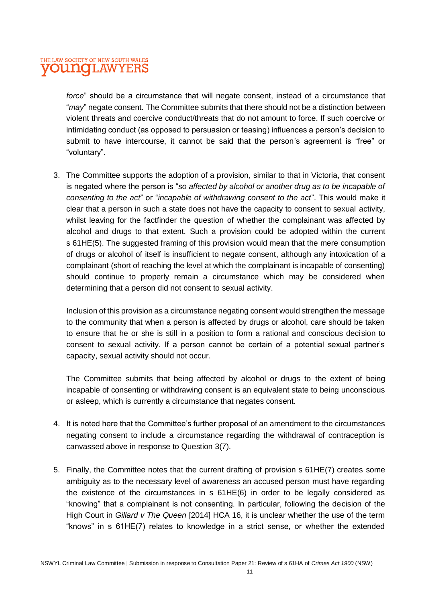## THE LAW SOCIETY OF NEW SOUTH WALES **OUNCLAWYER**

*force*" should be a circumstance that will negate consent, instead of a circumstance that "*may*" negate consent. The Committee submits that there should not be a distinction between violent threats and coercive conduct/threats that do not amount to force. If such coercive or intimidating conduct (as opposed to persuasion or teasing) influences a person's decision to submit to have intercourse, it cannot be said that the person's agreement is "free" or "voluntary".

3. The Committee supports the adoption of a provision, similar to that in Victoria, that consent is negated where the person is "*so affected by alcohol or another drug as to be incapable of consenting to the act*" or "*incapable of withdrawing consent to the act*". This would make it clear that a person in such a state does not have the capacity to consent to sexual activity, whilst leaving for the factfinder the question of whether the complainant was affected by alcohol and drugs to that extent. Such a provision could be adopted within the current s 61HE(5). The suggested framing of this provision would mean that the mere consumption of drugs or alcohol of itself is insufficient to negate consent, although any intoxication of a complainant (short of reaching the level at which the complainant is incapable of consenting) should continue to properly remain a circumstance which may be considered when determining that a person did not consent to sexual activity.

Inclusion of this provision as a circumstance negating consent would strengthen the message to the community that when a person is affected by drugs or alcohol, care should be taken to ensure that he or she is still in a position to form a rational and conscious decision to consent to sexual activity. If a person cannot be certain of a potential sexual partner's capacity, sexual activity should not occur.

The Committee submits that being affected by alcohol or drugs to the extent of being incapable of consenting or withdrawing consent is an equivalent state to being unconscious or asleep, which is currently a circumstance that negates consent.

- 4. It is noted here that the Committee's further proposal of an amendment to the circumstances negating consent to include a circumstance regarding the withdrawal of contraception is canvassed above in response to Question 3(7).
- 5. Finally, the Committee notes that the current drafting of provision s 61HE(7) creates some ambiguity as to the necessary level of awareness an accused person must have regarding the existence of the circumstances in s 61HE(6) in order to be legally considered as "knowing" that a complainant is not consenting. In particular, following the decision of the High Court in *Gillard v The Queen* [2014] HCA 16, it is unclear whether the use of the term "knows" in s 61HE(7) relates to knowledge in a strict sense, or whether the extended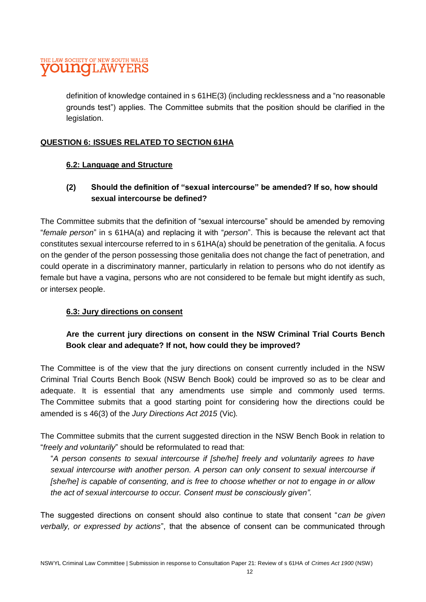# THE LAW SOCIETY OF NEW SOUTH WALES **OUINCLAWYEH**

definition of knowledge contained in s 61HE(3) (including recklessness and a "no reasonable grounds test") applies. The Committee submits that the position should be clarified in the legislation.

# **QUESTION 6: ISSUES RELATED TO SECTION 61HA**

#### **6.2: Language and Structure**

# **(2) Should the definition of "sexual intercourse" be amended? If so, how should sexual intercourse be defined?**

The Committee submits that the definition of "sexual intercourse" should be amended by removing "*female person*" in s 61HA(a) and replacing it with "*person*". This is because the relevant act that constitutes sexual intercourse referred to in s 61HA(a) should be penetration of the genitalia. A focus on the gender of the person possessing those genitalia does not change the fact of penetration, and could operate in a discriminatory manner, particularly in relation to persons who do not identify as female but have a vagina, persons who are not considered to be female but might identify as such, or intersex people.

## **6.3: Jury directions on consent**

# **Are the current jury directions on consent in the NSW Criminal Trial Courts Bench Book clear and adequate? If not, how could they be improved?**

The Committee is of the view that the jury directions on consent currently included in the NSW Criminal Trial Courts Bench Book (NSW Bench Book) could be improved so as to be clear and adequate. It is essential that any amendments use simple and commonly used terms. The Committee submits that a good starting point for considering how the directions could be amended is s 46(3) of the *Jury Directions Act 2015* (Vic)*.*

The Committee submits that the current suggested direction in the NSW Bench Book in relation to "*freely and voluntarily*" should be reformulated to read that:

"*A person consents to sexual intercourse if [she/he] freely and voluntarily agrees to have sexual intercourse with another person. A person can only consent to sexual intercourse if [she/he] is capable of consenting, and is free to choose whether or not to engage in or allow the act of sexual intercourse to occur. Consent must be consciously given".*

The suggested directions on consent should also continue to state that consent "*can be given verbally, or expressed by actions*", that the absence of consent can be communicated through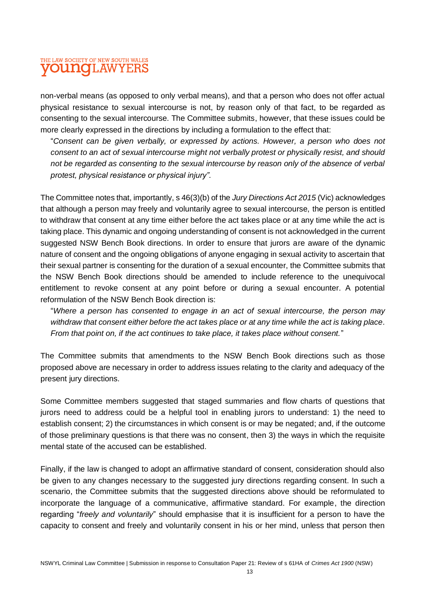# THE LAW SOCIETY OF NEW SOUTH WALES **OUNOLAWYER**

non-verbal means (as opposed to only verbal means), and that a person who does not offer actual physical resistance to sexual intercourse is not, by reason only of that fact, to be regarded as consenting to the sexual intercourse. The Committee submits, however, that these issues could be more clearly expressed in the directions by including a formulation to the effect that:

"*Consent can be given verbally, or expressed by actions. However, a person who does not consent to an act of sexual intercourse might not verbally protest or physically resist, and should not be regarded as consenting to the sexual intercourse by reason only of the absence of verbal protest, physical resistance or physical injury".*

The Committee notes that, importantly, s 46(3)(b) of the *Jury Directions Act 2015* (Vic) acknowledges that although a person may freely and voluntarily agree to sexual intercourse, the person is entitled to withdraw that consent at any time either before the act takes place or at any time while the act is taking place. This dynamic and ongoing understanding of consent is not acknowledged in the current suggested NSW Bench Book directions. In order to ensure that jurors are aware of the dynamic nature of consent and the ongoing obligations of anyone engaging in sexual activity to ascertain that their sexual partner is consenting for the duration of a sexual encounter, the Committee submits that the NSW Bench Book directions should be amended to include reference to the unequivocal entitlement to revoke consent at any point before or during a sexual encounter. A potential reformulation of the NSW Bench Book direction is:

"*Where a person has consented to engage in an act of sexual intercourse, the person may withdraw that consent either before the act takes place or at any time while the act is taking place. From that point on, if the act continues to take place, it takes place without consent.*"

The Committee submits that amendments to the NSW Bench Book directions such as those proposed above are necessary in order to address issues relating to the clarity and adequacy of the present jury directions.

Some Committee members suggested that staged summaries and flow charts of questions that jurors need to address could be a helpful tool in enabling jurors to understand: 1) the need to establish consent; 2) the circumstances in which consent is or may be negated; and, if the outcome of those preliminary questions is that there was no consent, then 3) the ways in which the requisite mental state of the accused can be established.

Finally, if the law is changed to adopt an affirmative standard of consent, consideration should also be given to any changes necessary to the suggested jury directions regarding consent. In such a scenario, the Committee submits that the suggested directions above should be reformulated to incorporate the language of a communicative, affirmative standard. For example, the direction regarding "*freely and voluntarily*" should emphasise that it is insufficient for a person to have the capacity to consent and freely and voluntarily consent in his or her mind, unless that person then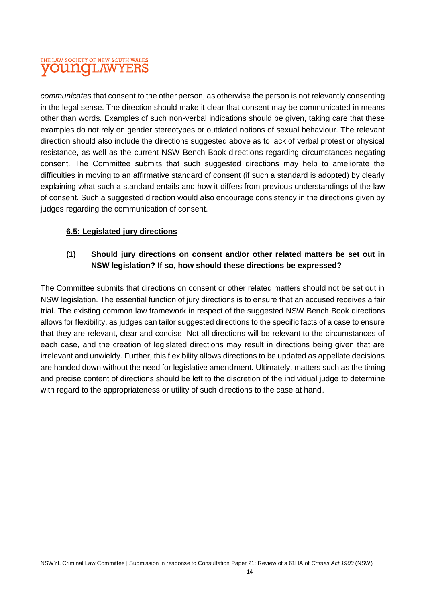# THE LAW SOCIETY OF NEW SOUTH WALES **OUNGLAWYERS**

*communicates* that consent to the other person, as otherwise the person is not relevantly consenting in the legal sense. The direction should make it clear that consent may be communicated in means other than words. Examples of such non-verbal indications should be given, taking care that these examples do not rely on gender stereotypes or outdated notions of sexual behaviour. The relevant direction should also include the directions suggested above as to lack of verbal protest or physical resistance, as well as the current NSW Bench Book directions regarding circumstances negating consent. The Committee submits that such suggested directions may help to ameliorate the difficulties in moving to an affirmative standard of consent (if such a standard is adopted) by clearly explaining what such a standard entails and how it differs from previous understandings of the law of consent. Such a suggested direction would also encourage consistency in the directions given by judges regarding the communication of consent.

#### **6.5: Legislated jury directions**

# **(1) Should jury directions on consent and/or other related matters be set out in NSW legislation? If so, how should these directions be expressed?**

The Committee submits that directions on consent or other related matters should not be set out in NSW legislation. The essential function of jury directions is to ensure that an accused receives a fair trial. The existing common law framework in respect of the suggested NSW Bench Book directions allows for flexibility, as judges can tailor suggested directions to the specific facts of a case to ensure that they are relevant, clear and concise. Not all directions will be relevant to the circumstances of each case, and the creation of legislated directions may result in directions being given that are irrelevant and unwieldy. Further, this flexibility allows directions to be updated as appellate decisions are handed down without the need for legislative amendment. Ultimately, matters such as the timing and precise content of directions should be left to the discretion of the individual judge to determine with regard to the appropriateness or utility of such directions to the case at hand.